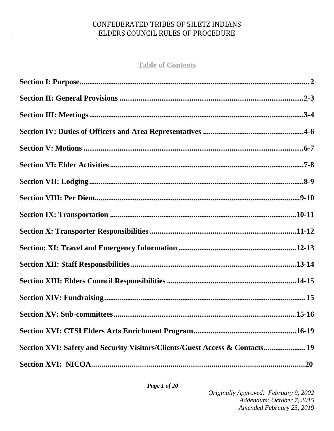**Table of Contents**

| Section XVI: Safety and Security Visitors/Clients/Guest Access & Contacts 19 |  |
|------------------------------------------------------------------------------|--|
|                                                                              |  |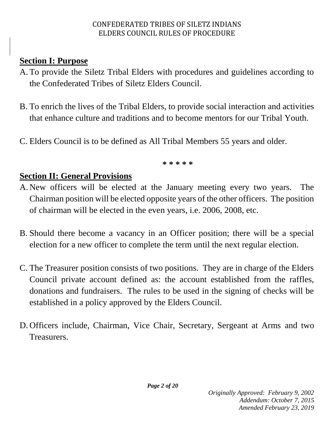## **Section I: Purpose**

- A. To provide the Siletz Tribal Elders with procedures and guidelines according to the Confederated Tribes of Siletz Elders Council.
- B. To enrich the lives of the Tribal Elders, to provide social interaction and activities that enhance culture and traditions and to become mentors for our Tribal Youth.
- C. Elders Council is to be defined as All Tribal Members 55 years and older.

**\* \* \* \* \*** 

# **Section II: General Provisions**

- A. New officers will be elected at the January meeting every two years. The Chairman position will be elected opposite years of the other officers. The position of chairman will be elected in the even years, i.e. 2006, 2008, etc.
- B. Should there become a vacancy in an Officer position; there will be a special election for a new officer to complete the term until the next regular election.
- C. The Treasurer position consists of two positions. They are in charge of the Elders Council private account defined as: the account established from the raffles, donations and fundraisers. The rules to be used in the signing of checks will be established in a policy approved by the Elders Council.
- D. Officers include, Chairman, Vice Chair, Secretary, Sergeant at Arms and two Treasurers.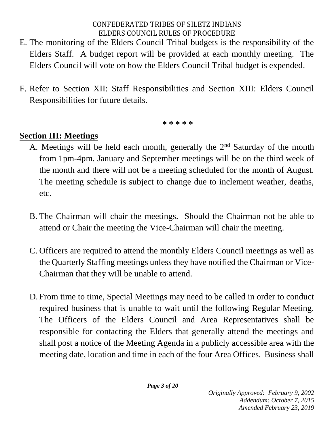- E. The monitoring of the Elders Council Tribal budgets is the responsibility of the Elders Staff. A budget report will be provided at each monthly meeting. The Elders Council will vote on how the Elders Council Tribal budget is expended.
- F. Refer to Section XII: Staff Responsibilities and Section XIII: Elders Council Responsibilities for future details.

**\* \* \* \* \*** 

## **Section III: Meetings**

- A. Meetings will be held each month, generally the  $2<sup>nd</sup>$  Saturday of the month from 1pm-4pm. January and September meetings will be on the third week of the month and there will not be a meeting scheduled for the month of August. The meeting schedule is subject to change due to inclement weather, deaths, etc.
- B. The Chairman will chair the meetings. Should the Chairman not be able to attend or Chair the meeting the Vice-Chairman will chair the meeting.
- C. Officers are required to attend the monthly Elders Council meetings as well as the Quarterly Staffing meetings unless they have notified the Chairman or Vice-Chairman that they will be unable to attend.
- D. From time to time, Special Meetings may need to be called in order to conduct required business that is unable to wait until the following Regular Meeting. The Officers of the Elders Council and Area Representatives shall be responsible for contacting the Elders that generally attend the meetings and shall post a notice of the Meeting Agenda in a publicly accessible area with the meeting date, location and time in each of the four Area Offices. Business shall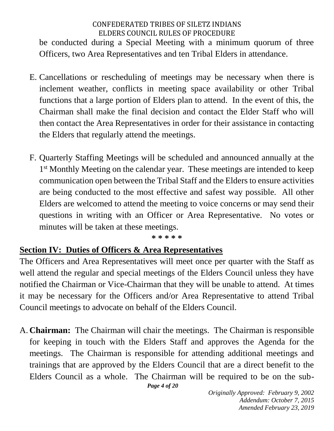be conducted during a Special Meeting with a minimum quorum of three Officers, two Area Representatives and ten Tribal Elders in attendance.

- E. Cancellations or rescheduling of meetings may be necessary when there is inclement weather, conflicts in meeting space availability or other Tribal functions that a large portion of Elders plan to attend. In the event of this, the Chairman shall make the final decision and contact the Elder Staff who will then contact the Area Representatives in order for their assistance in contacting the Elders that regularly attend the meetings.
- F. Quarterly Staffing Meetings will be scheduled and announced annually at the 1<sup>st</sup> Monthly Meeting on the calendar year. These meetings are intended to keep communication open between the Tribal Staff and the Elders to ensure activities are being conducted to the most effective and safest way possible. All other Elders are welcomed to attend the meeting to voice concerns or may send their questions in writing with an Officer or Area Representative. No votes or minutes will be taken at these meetings.

#### **\* \* \* \* \***

#### **Section IV: Duties of Officers & Area Representatives**

The Officers and Area Representatives will meet once per quarter with the Staff as well attend the regular and special meetings of the Elders Council unless they have notified the Chairman or Vice-Chairman that they will be unable to attend. At times it may be necessary for the Officers and/or Area Representative to attend Tribal Council meetings to advocate on behalf of the Elders Council.

A. **Chairman:** The Chairman will chair the meetings. The Chairman is responsible for keeping in touch with the Elders Staff and approves the Agenda for the meetings. The Chairman is responsible for attending additional meetings and trainings that are approved by the Elders Council that are a direct benefit to the Elders Council as a whole. The Chairman will be required to be on the sub-

```
Page 4 of 20
```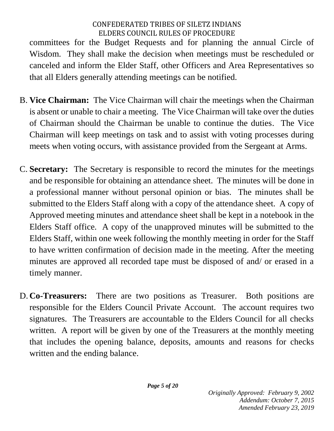committees for the Budget Requests and for planning the annual Circle of Wisdom. They shall make the decision when meetings must be rescheduled or canceled and inform the Elder Staff, other Officers and Area Representatives so that all Elders generally attending meetings can be notified.

- B. **Vice Chairman:** The Vice Chairman will chair the meetings when the Chairman is absent or unable to chair a meeting. The Vice Chairman will take over the duties of Chairman should the Chairman be unable to continue the duties. The Vice Chairman will keep meetings on task and to assist with voting processes during meets when voting occurs, with assistance provided from the Sergeant at Arms.
- C. **Secretary:** The Secretary is responsible to record the minutes for the meetings and be responsible for obtaining an attendance sheet. The minutes will be done in a professional manner without personal opinion or bias. The minutes shall be submitted to the Elders Staff along with a copy of the attendance sheet. A copy of Approved meeting minutes and attendance sheet shall be kept in a notebook in the Elders Staff office. A copy of the unapproved minutes will be submitted to the Elders Staff, within one week following the monthly meeting in order for the Staff to have written confirmation of decision made in the meeting. After the meeting minutes are approved all recorded tape must be disposed of and/ or erased in a timely manner.
- D. **Co-Treasurers:** There are two positions as Treasurer. Both positions are responsible for the Elders Council Private Account. The account requires two signatures. The Treasurers are accountable to the Elders Council for all checks written. A report will be given by one of the Treasurers at the monthly meeting that includes the opening balance, deposits, amounts and reasons for checks written and the ending balance.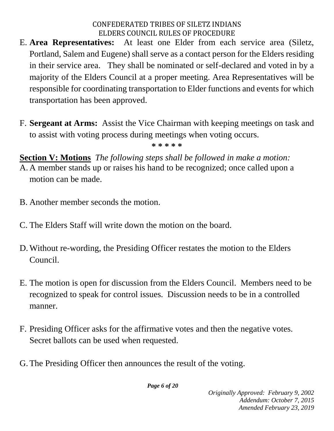- E. **Area Representatives:** At least one Elder from each service area (Siletz, Portland, Salem and Eugene) shall serve as a contact person for the Elders residing in their service area. They shall be nominated or self-declared and voted in by a majority of the Elders Council at a proper meeting. Area Representatives will be responsible for coordinating transportation to Elder functions and events for which transportation has been approved.
- F. **Sergeant at Arms:** Assist the Vice Chairman with keeping meetings on task and to assist with voting process during meetings when voting occurs.

**\* \* \* \* \***

**Section V: Motions** *The following steps shall be followed in make a motion:*

- A. A member stands up or raises his hand to be recognized; once called upon a motion can be made.
- B. Another member seconds the motion.
- C. The Elders Staff will write down the motion on the board.
- D.Without re-wording, the Presiding Officer restates the motion to the Elders Council.
- E. The motion is open for discussion from the Elders Council. Members need to be recognized to speak for control issues. Discussion needs to be in a controlled manner.
- F. Presiding Officer asks for the affirmative votes and then the negative votes. Secret ballots can be used when requested.
- G. The Presiding Officer then announces the result of the voting.

*Page 6 of 20*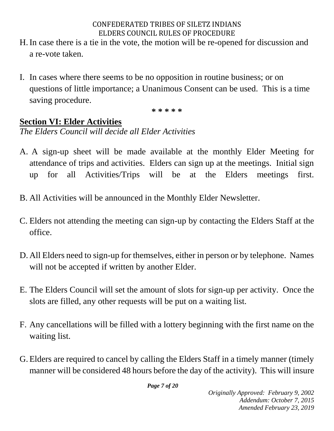- H.In case there is a tie in the vote, the motion will be re-opened for discussion and a re-vote taken.
- I. In cases where there seems to be no opposition in routine business; or on questions of little importance; a Unanimous Consent can be used. This is a time saving procedure.

**\* \* \* \* \***

## **Section VI: Elder Activities**

*The Elders Council will decide all Elder Activities*

- A. A sign-up sheet will be made available at the monthly Elder Meeting for attendance of trips and activities. Elders can sign up at the meetings. Initial sign up for all Activities/Trips will be at the Elders meetings first.
- B. All Activities will be announced in the Monthly Elder Newsletter.
- C. Elders not attending the meeting can sign-up by contacting the Elders Staff at the office.
- D. All Elders need to sign-up for themselves, either in person or by telephone. Names will not be accepted if written by another Elder.
- E. The Elders Council will set the amount of slots for sign-up per activity. Once the slots are filled, any other requests will be put on a waiting list.
- F. Any cancellations will be filled with a lottery beginning with the first name on the waiting list.
- G. Elders are required to cancel by calling the Elders Staff in a timely manner (timely manner will be considered 48 hours before the day of the activity). This will insure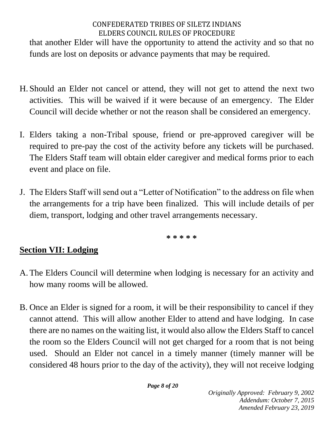that another Elder will have the opportunity to attend the activity and so that no funds are lost on deposits or advance payments that may be required.

- H. Should an Elder not cancel or attend, they will not get to attend the next two activities. This will be waived if it were because of an emergency. The Elder Council will decide whether or not the reason shall be considered an emergency.
- I. Elders taking a non-Tribal spouse, friend or pre-approved caregiver will be required to pre-pay the cost of the activity before any tickets will be purchased. The Elders Staff team will obtain elder caregiver and medical forms prior to each event and place on file.
- J. The Elders Staff will send out a "Letter of Notification" to the address on file when the arrangements for a trip have been finalized. This will include details of per diem, transport, lodging and other travel arrangements necessary.

**\* \* \* \* \***

# **Section VII: Lodging**

- A. The Elders Council will determine when lodging is necessary for an activity and how many rooms will be allowed.
- B. Once an Elder is signed for a room, it will be their responsibility to cancel if they cannot attend. This will allow another Elder to attend and have lodging. In case there are no names on the waiting list, it would also allow the Elders Staff to cancel the room so the Elders Council will not get charged for a room that is not being used. Should an Elder not cancel in a timely manner (timely manner will be considered 48 hours prior to the day of the activity), they will not receive lodging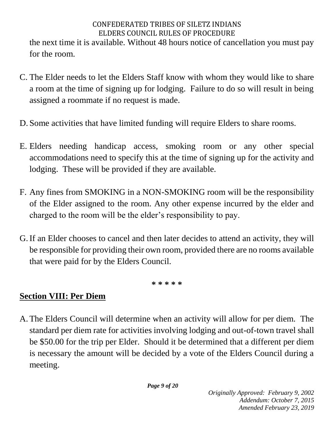the next time it is available. Without 48 hours notice of cancellation you must pay for the room.

- C. The Elder needs to let the Elders Staff know with whom they would like to share a room at the time of signing up for lodging. Failure to do so will result in being assigned a roommate if no request is made.
- D. Some activities that have limited funding will require Elders to share rooms.
- E. Elders needing handicap access, smoking room or any other special accommodations need to specify this at the time of signing up for the activity and lodging. These will be provided if they are available.
- F. Any fines from SMOKING in a NON-SMOKING room will be the responsibility of the Elder assigned to the room. Any other expense incurred by the elder and charged to the room will be the elder's responsibility to pay.
- G.If an Elder chooses to cancel and then later decides to attend an activity, they will be responsible for providing their own room, provided there are no rooms available that were paid for by the Elders Council.

**\* \* \* \* \***

# **Section VIII: Per Diem**

A. The Elders Council will determine when an activity will allow for per diem. The standard per diem rate for activities involving lodging and out-of-town travel shall be \$50.00 for the trip per Elder. Should it be determined that a different per diem is necessary the amount will be decided by a vote of the Elders Council during a meeting.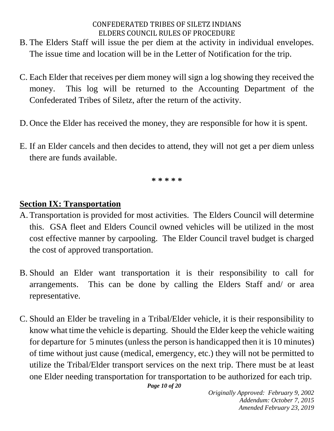- B. The Elders Staff will issue the per diem at the activity in individual envelopes. The issue time and location will be in the Letter of Notification for the trip.
- C. Each Elder that receives per diem money will sign a log showing they received the money. This log will be returned to the Accounting Department of the Confederated Tribes of Siletz, after the return of the activity.
- D. Once the Elder has received the money, they are responsible for how it is spent.
- E. If an Elder cancels and then decides to attend, they will not get a per diem unless there are funds available.

**\* \* \* \* \***

### **Section IX: Transportation**

- A. Transportation is provided for most activities. The Elders Council will determine this. GSA fleet and Elders Council owned vehicles will be utilized in the most cost effective manner by carpooling. The Elder Council travel budget is charged the cost of approved transportation.
- B. Should an Elder want transportation it is their responsibility to call for arrangements. This can be done by calling the Elders Staff and/ or area representative.
- C. Should an Elder be traveling in a Tribal/Elder vehicle, it is their responsibility to know what time the vehicle is departing. Should the Elder keep the vehicle waiting for departure for 5 minutes (unless the person is handicapped then it is 10 minutes) of time without just cause (medical, emergency, etc.) they will not be permitted to utilize the Tribal/Elder transport services on the next trip. There must be at least one Elder needing transportation for transportation to be authorized for each trip.

*Page 10 of 20*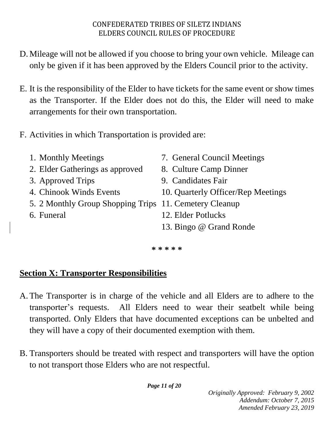- D. Mileage will not be allowed if you choose to bring your own vehicle. Mileage can only be given if it has been approved by the Elders Council prior to the activity.
- E. It is the responsibility of the Elder to have tickets for the same event or show times as the Transporter. If the Elder does not do this, the Elder will need to make arrangements for their own transportation.
- F. Activities in which Transportation is provided are:
	-
	- 2. Elder Gatherings as approved 8. Culture Camp Dinner
	-
	-
	- 5. 2 Monthly Group Shopping Trips 11. Cemetery Cleanup
	-
- 1. Monthly Meetings 7. General Council Meetings
	-
- 3. Approved Trips 9. Candidates Fair
- 4. Chinook Winds Events 10. Quarterly Officer/Rep Meetings
	-
- 6. Funeral 12. Elder Potlucks
	- 13. Bingo @ Grand Ronde

**\* \* \* \* \***

## **Section X: Transporter Responsibilities**

- A. The Transporter is in charge of the vehicle and all Elders are to adhere to the transporter's requests. All Elders need to wear their seatbelt while being transported. Only Elders that have documented exceptions can be unbelted and they will have a copy of their documented exemption with them.
- B. Transporters should be treated with respect and transporters will have the option to not transport those Elders who are not respectful.

*Page 11 of 20*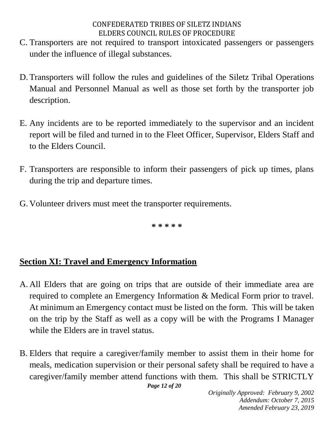- C. Transporters are not required to transport intoxicated passengers or passengers under the influence of illegal substances.
- D. Transporters will follow the rules and guidelines of the Siletz Tribal Operations Manual and Personnel Manual as well as those set forth by the transporter job description.
- E. Any incidents are to be reported immediately to the supervisor and an incident report will be filed and turned in to the Fleet Officer, Supervisor, Elders Staff and to the Elders Council.
- F. Transporters are responsible to inform their passengers of pick up times, plans during the trip and departure times.
- G. Volunteer drivers must meet the transporter requirements.

**\* \* \* \* \***

## **Section XI: Travel and Emergency Information**

- A. All Elders that are going on trips that are outside of their immediate area are required to complete an Emergency Information & Medical Form prior to travel. At minimum an Emergency contact must be listed on the form. This will be taken on the trip by the Staff as well as a copy will be with the Programs I Manager while the Elders are in travel status.
- B. Elders that require a caregiver/family member to assist them in their home for meals, medication supervision or their personal safety shall be required to have a caregiver/family member attend functions with them. This shall be STRICTLY

*Page 12 of 20*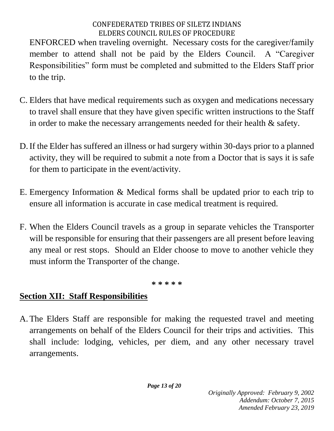ENFORCED when traveling overnight. Necessary costs for the caregiver/family member to attend shall not be paid by the Elders Council. A "Caregiver Responsibilities" form must be completed and submitted to the Elders Staff prior to the trip.

- C. Elders that have medical requirements such as oxygen and medications necessary to travel shall ensure that they have given specific written instructions to the Staff in order to make the necessary arrangements needed for their health & safety.
- D.If the Elder has suffered an illness or had surgery within 30-days prior to a planned activity, they will be required to submit a note from a Doctor that is says it is safe for them to participate in the event/activity.
- E. Emergency Information & Medical forms shall be updated prior to each trip to ensure all information is accurate in case medical treatment is required.
- F. When the Elders Council travels as a group in separate vehicles the Transporter will be responsible for ensuring that their passengers are all present before leaving any meal or rest stops. Should an Elder choose to move to another vehicle they must inform the Transporter of the change.

**\* \* \* \* \***

# **Section XII: Staff Responsibilities**

A. The Elders Staff are responsible for making the requested travel and meeting arrangements on behalf of the Elders Council for their trips and activities. This shall include: lodging, vehicles, per diem, and any other necessary travel arrangements.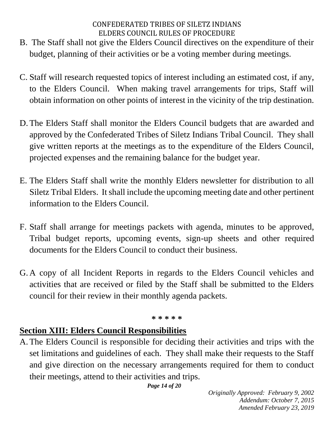- B. The Staff shall not give the Elders Council directives on the expenditure of their budget, planning of their activities or be a voting member during meetings.
- C. Staff will research requested topics of interest including an estimated cost, if any, to the Elders Council. When making travel arrangements for trips, Staff will obtain information on other points of interest in the vicinity of the trip destination.
- D. The Elders Staff shall monitor the Elders Council budgets that are awarded and approved by the Confederated Tribes of Siletz Indians Tribal Council. They shall give written reports at the meetings as to the expenditure of the Elders Council, projected expenses and the remaining balance for the budget year.
- E. The Elders Staff shall write the monthly Elders newsletter for distribution to all Siletz Tribal Elders. It shall include the upcoming meeting date and other pertinent information to the Elders Council.
- F. Staff shall arrange for meetings packets with agenda, minutes to be approved, Tribal budget reports, upcoming events, sign-up sheets and other required documents for the Elders Council to conduct their business.
- G. A copy of all Incident Reports in regards to the Elders Council vehicles and activities that are received or filed by the Staff shall be submitted to the Elders council for their review in their monthly agenda packets.

#### **\* \* \* \* \***

#### **Section XIII: Elders Council Responsibilities**

A. The Elders Council is responsible for deciding their activities and trips with the set limitations and guidelines of each. They shall make their requests to the Staff and give direction on the necessary arrangements required for them to conduct their meetings, attend to their activities and trips.

*Page 14 of 20*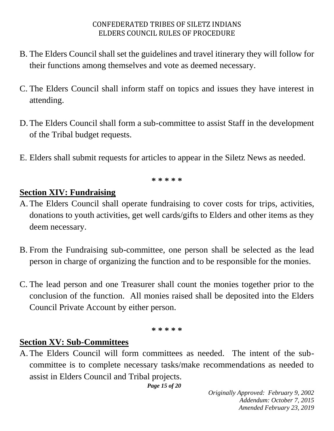- B. The Elders Council shall set the guidelines and travel itinerary they will follow for their functions among themselves and vote as deemed necessary.
- C. The Elders Council shall inform staff on topics and issues they have interest in attending.
- D. The Elders Council shall form a sub-committee to assist Staff in the development of the Tribal budget requests.
- E. Elders shall submit requests for articles to appear in the Siletz News as needed.

**\* \* \* \* \***

### **Section XIV: Fundraising**

- A. The Elders Council shall operate fundraising to cover costs for trips, activities, donations to youth activities, get well cards/gifts to Elders and other items as they deem necessary.
- B. From the Fundraising sub-committee, one person shall be selected as the lead person in charge of organizing the function and to be responsible for the monies.
- C. The lead person and one Treasurer shall count the monies together prior to the conclusion of the function. All monies raised shall be deposited into the Elders Council Private Account by either person.

**\* \* \* \* \***

## **Section XV: Sub-Committees**

A. The Elders Council will form committees as needed. The intent of the subcommittee is to complete necessary tasks/make recommendations as needed to assist in Elders Council and Tribal projects.

*Page 15 of 20*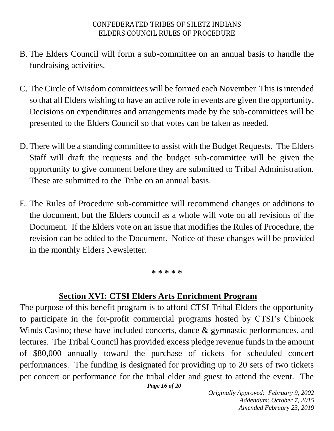- B. The Elders Council will form a sub-committee on an annual basis to handle the fundraising activities.
- C. The Circle of Wisdom committees will be formed each November This is intended so that all Elders wishing to have an active role in events are given the opportunity. Decisions on expenditures and arrangements made by the sub-committees will be presented to the Elders Council so that votes can be taken as needed.
- D. There will be a standing committee to assist with the Budget Requests. The Elders Staff will draft the requests and the budget sub-committee will be given the opportunity to give comment before they are submitted to Tribal Administration. These are submitted to the Tribe on an annual basis.
- E. The Rules of Procedure sub-committee will recommend changes or additions to the document, but the Elders council as a whole will vote on all revisions of the Document. If the Elders vote on an issue that modifies the Rules of Procedure, the revision can be added to the Document. Notice of these changes will be provided in the monthly Elders Newsletter.

#### **\* \* \* \* \***

#### **Section XVI: CTSI Elders Arts Enrichment Program**

The purpose of this benefit program is to afford CTSI Tribal Elders the opportunity to participate in the for-profit commercial programs hosted by CTSI's Chinook Winds Casino; these have included concerts, dance & gymnastic performances, and lectures. The Tribal Council has provided excess pledge revenue funds in the amount of \$80,000 annually toward the purchase of tickets for scheduled concert performances. The funding is designated for providing up to 20 sets of two tickets per concert or performance for the tribal elder and guest to attend the event. The

*Page 16 of 20*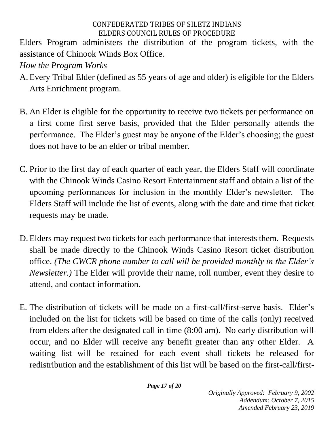Elders Program administers the distribution of the program tickets, with the assistance of Chinook Winds Box Office.

*How the Program Works*

- A. Every Tribal Elder (defined as 55 years of age and older) is eligible for the Elders Arts Enrichment program.
- B. An Elder is eligible for the opportunity to receive two tickets per performance on a first come first serve basis, provided that the Elder personally attends the performance. The Elder's guest may be anyone of the Elder's choosing; the guest does not have to be an elder or tribal member.
- C. Prior to the first day of each quarter of each year, the Elders Staff will coordinate with the Chinook Winds Casino Resort Entertainment staff and obtain a list of the upcoming performances for inclusion in the monthly Elder's newsletter. The Elders Staff will include the list of events, along with the date and time that ticket requests may be made.
- D. Elders may request two tickets for each performance that interests them. Requests shall be made directly to the Chinook Winds Casino Resort ticket distribution office. *(The CWCR phone number to call will be provided monthly in the Elder's Newsletter.)* The Elder will provide their name, roll number, event they desire to attend, and contact information.
- E. The distribution of tickets will be made on a first-call/first-serve basis. Elder's included on the list for tickets will be based on time of the calls (only) received from elders after the designated call in time (8:00 am). No early distribution will occur, and no Elder will receive any benefit greater than any other Elder. A waiting list will be retained for each event shall tickets be released for redistribution and the establishment of this list will be based on the first-call/first-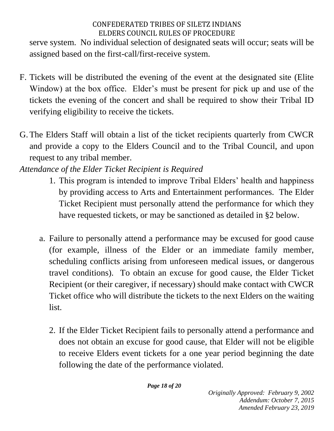serve system. No individual selection of designated seats will occur; seats will be assigned based on the first-call/first-receive system.

- F. Tickets will be distributed the evening of the event at the designated site (Elite Window) at the box office. Elder's must be present for pick up and use of the tickets the evening of the concert and shall be required to show their Tribal ID verifying eligibility to receive the tickets.
- G. The Elders Staff will obtain a list of the ticket recipients quarterly from CWCR and provide a copy to the Elders Council and to the Tribal Council, and upon request to any tribal member.
- *Attendance of the Elder Ticket Recipient is Required*
	- 1. This program is intended to improve Tribal Elders' health and happiness by providing access to Arts and Entertainment performances. The Elder Ticket Recipient must personally attend the performance for which they have requested tickets, or may be sanctioned as detailed in §2 below.
	- a. Failure to personally attend a performance may be excused for good cause (for example, illness of the Elder or an immediate family member, scheduling conflicts arising from unforeseen medical issues, or dangerous travel conditions). To obtain an excuse for good cause, the Elder Ticket Recipient (or their caregiver, if necessary) should make contact with CWCR Ticket office who will distribute the tickets to the next Elders on the waiting list.
		- 2. If the Elder Ticket Recipient fails to personally attend a performance and does not obtain an excuse for good cause, that Elder will not be eligible to receive Elders event tickets for a one year period beginning the date following the date of the performance violated.

*Page 18 of 20*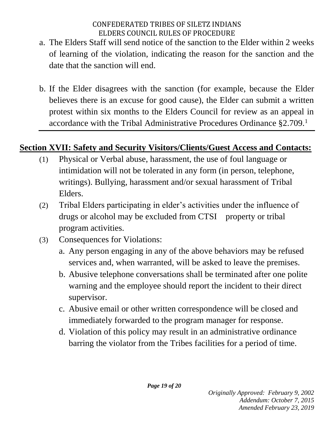- a. The Elders Staff will send notice of the sanction to the Elder within 2 weeks of learning of the violation, indicating the reason for the sanction and the date that the sanction will end.
- b. If the Elder disagrees with the sanction (for example, because the Elder believes there is an excuse for good cause), the Elder can submit a written protest within six months to the Elders Council for review as an appeal in accordance with the Tribal Administrative Procedures Ordinance §2.709.<sup>1</sup>

## **Section XVII: Safety and Security Visitors/Clients/Guest Access and Contacts:**

- (1) Physical or Verbal abuse, harassment, the use of foul language or intimidation will not be tolerated in any form (in person, telephone, writings). Bullying, harassment and/or sexual harassment of Tribal Elders.
- (2) Tribal Elders participating in elder's activities under the influence of drugs or alcohol may be excluded from CTSI property or tribal program activities.
- (3) Consequences for Violations:
	- a. Any person engaging in any of the above behaviors may be refused services and, when warranted, will be asked to leave the premises.
	- b. Abusive telephone conversations shall be terminated after one polite warning and the employee should report the incident to their direct supervisor.
	- c. Abusive email or other written correspondence will be closed and immediately forwarded to the program manager for response.
	- d. Violation of this policy may result in an administrative ordinance barring the violator from the Tribes facilities for a period of time.